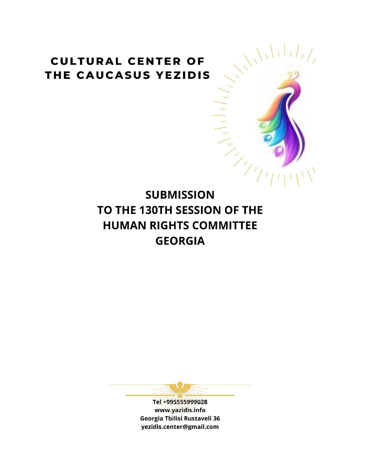## **CULTURAL CENTER OF** THE CAUCASUS YEZIDIS

## **SUBMISSION** TO THE 130TH SESSION OF THE **HUMAN RIGHTS COMMITTEE GEORGIA**

 $\sqrt{111177}$ 



www.yazidis.info Georgia Tbilisi Rustaveli 36 yezidis.center@gmail.com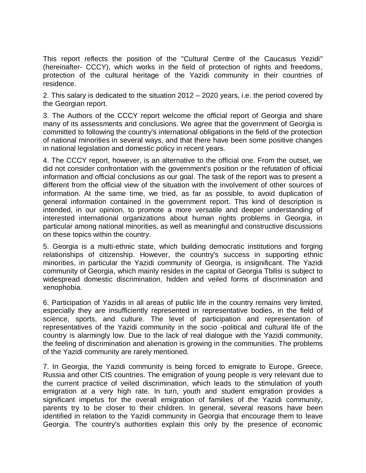This report reflects the position of the "Cultural Centre of the Caucasus Yezidi" (hereinafter- CCCY), which works in the field of protection of rights and freedoms, protection of the cultural heritage of the Yazidi community in their countries of residence.

2. This salary is dedicated to the situation 2012 – 2020 years, i.e. the period covered by the Georgian report.

3. The Authors of the CCCY report welcome the official report of Georgia and share many of its assessments and conclusions. We agree that the government of Georgia is committed to following the country's international obligations in the field of the protection of national minorities in several ways, and that there have been some positive changes in national legislation and domestic policy in recent years.

4. The CCCY report, however, is an alternative to the official one. From the outset, we did not consider confrontation with the government's position or the refutation of official information and official conclusions as our goal. The task of the report was to present a different from the official view of the situation with the involvement of other sources of information. At the same time, we tried, as far as possible, to avoid duplication of general information contained in the government report. This kind of description is intended, in our opinion, to promote a more versatile and deeper understanding of interested international organizations about human rights problems in Georgia, in particular among national minorities, as well as meaningful and constructive discussions on these topics within the country.

5. Georgia is a multi-ethnic state, which building democratic institutions and forging relationships of citizenship. However, the country's success in supporting ethnic minorities, in particular the Yazidi community of Georgia, is insignificant. The Yazidi community of Georgia, which mainly resides in the capital of Georgia Tbilisi is subject to widespread domestic discrimination, hidden and veiled forms of discrimination and xenophobia.

6. Participation of Yazidis in all areas of public life in the country remains very limited, especially they are insufficiently represented in representative bodies, in the field of science, sports, and culture. The level of participation and representation of representatives of the Yazidi community in the socio -political and cultural life of the country is alarmingly low. Due to the lack of real dialogue with the Yazidi community, the feeling of discrimination and alienation is growing in the communities. The problems of the Yazidi community are rarely mentioned.

7. In Georgia, the Yazidi community is being forced to emigrate to Europe, Greece, Russia and other CIS countries. The emigration of young people is very relevant due to the current practice of veiled discrimination, which leads to the stimulation of youth emigration at a very high rate. In turn, youth and student emigration provides a significant impetus for the overall emigration of families of the Yazidi community, parents try to be closer to their children. In general, several reasons have been identified in relation to the Yazidi community in Georgia that encourage them to leave Georgia. The country's authorities explain this only by the presence of economic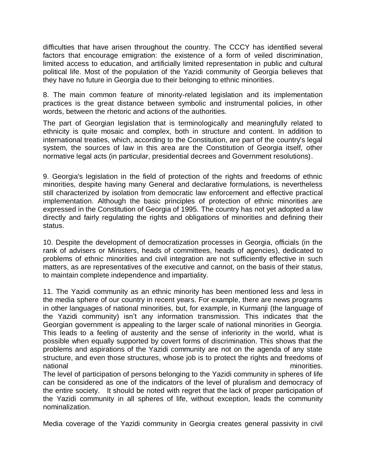difficulties that have arisen throughout the country. The CCCY has identified several factors that encourage emigration: the existence of a form of veiled discrimination, limited access to education, and artificially limited representation in public and cultural political life. Most of the population of the Yazidi community of Georgia believes that they have no future in Georgia due to their belonging to ethnic minorities.

8. The main common feature of minority-related legislation and its implementation practices is the great distance between symbolic and instrumental policies, in other words, between the rhetoric and actions of the authorities.

The part of Georgian legislation that is terminologically and meaningfully related to ethnicity is quite mosaic and complex, both in structure and content. In addition to international treaties, which, according to the Constitution, are part of the country's legal system, the sources of law in this area are the Constitution of Georgia itself, other normative legal acts (in particular, presidential decrees and Government resolutions).

9. Georgia's legislation in the field of protection of the rights and freedoms of ethnic minorities, despite having many General and declarative formulations, is nevertheless still characterized by isolation from democratic law enforcement and effective practical implementation. Although the basic principles of protection of ethnic minorities are expressed in the Constitution of Georgia of 1995. The country has not yet adopted a law directly and fairly regulating the rights and obligations of minorities and defining their status.

10. Despite the development of democratization processes in Georgia, officials (in the rank of advisers or Ministers, heads of committees, heads of agencies), dedicated to problems of ethnic minorities and civil integration are not sufficiently effective in such matters, as are representatives of the executive and cannot, on the basis of their status, to maintain complete independence and impartiality.

11. The Yazidi community as an ethnic minority has been mentioned less and less in the media sphere of our country in recent years. For example, there are news programs in other languages of national minorities, but, for example, in Kurmanji (the language of the Yazidi community) isn't any information transmission. This indicates that the Georgian government is appealing to the larger scale of national minorities in Georgia. This leads to a feeling of austerity and the sense of inferiority in the world, what is possible when equally supported by covert forms of discrimination. This shows that the problems and aspirations of the Yazidi community are not on the agenda of any state structure, and even those structures, whose job is to protect the rights and freedoms of national minorities.

The level of participation of persons belonging to the Yazidi community in spheres of life can be considered as one of the indicators of the level of pluralism and democracy of the entire society. It should be noted with regret that the lack of proper participation of the Yazidi community in all spheres of life, without exception, leads the community nominalization.

Media coverage of the Yazidi community in Georgia creates general passivity in civil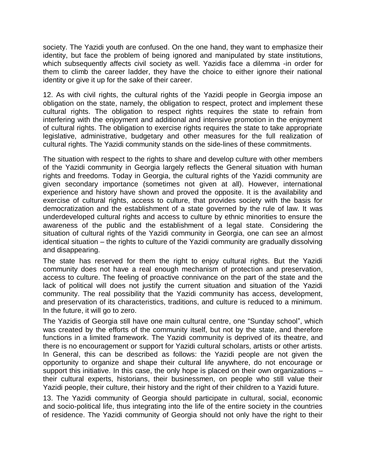society. The Yazidi youth are confused. On the one hand, they want to emphasize their identity, but face the problem of being ignored and manipulated by state institutions, which subsequently affects civil society as well. Yazidis face a dilemma -in order for them to climb the career ladder, they have the choice to either ignore their national identity or give it up for the sake of their career.

12. As with civil rights, the cultural rights of the Yazidi people in Georgia impose an obligation on the state, namely, the obligation to respect, protect and implement these cultural rights. The obligation to respect rights requires the state to refrain from interfering with the enjoyment and additional and intensive promotion in the enjoyment of cultural rights. The obligation to exercise rights requires the state to take appropriate legislative, administrative, budgetary and other measures for the full realization of cultural rights. The Yazidi community stands on the side-lines of these commitments.

The situation with respect to the rights to share and develop culture with other members of the Yazidi community in Georgia largely reflects the General situation with human rights and freedoms. Today in Georgia, the cultural rights of the Yazidi community are given secondary importance (sometimes not given at all). However, international experience and history have shown and proved the opposite. It is the availability and exercise of cultural rights, access to culture, that provides society with the basis for democratization and the establishment of a state governed by the rule of law. It was underdeveloped cultural rights and access to culture by ethnic minorities to ensure the awareness of the public and the establishment of a legal state. Considering the situation of cultural rights of the Yazidi community in Georgia, one can see an almost identical situation – the rights to culture of the Yazidi community are gradually dissolving and disappearing.

The state has reserved for them the right to enjoy cultural rights. But the Yazidi community does not have a real enough mechanism of protection and preservation, access to culture. The feeling of proactive connivance on the part of the state and the lack of political will does not justify the current situation and situation of the Yazidi community. The real possibility that the Yazidi community has access, development, and preservation of its characteristics, traditions, and culture is reduced to a minimum. In the future, it will go to zero.

The Yazidis of Georgia still have one main cultural centre, one "Sunday school", which was created by the efforts of the community itself, but not by the state, and therefore functions in a limited framework. The Yazidi community is deprived of its theatre, and there is no encouragement or support for Yazidi cultural scholars, artists or other artists. In General, this can be described as follows: the Yazidi people are not given the opportunity to organize and shape their cultural life anywhere, do not encourage or support this initiative. In this case, the only hope is placed on their own organizations – their cultural experts, historians, their businessmen, on people who still value their Yazidi people, their culture, their history and the right of their children to a Yazidi future.

13. The Yazidi community of Georgia should participate in cultural, social, economic and socio-political life, thus integrating into the life of the entire society in the countries of residence. The Yazidi community of Georgia should not only have the right to their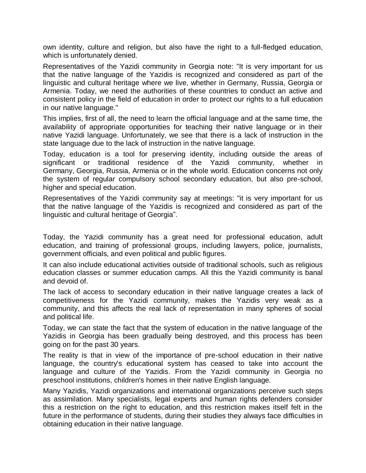own identity, culture and religion, but also have the right to a full-fledged education, which is unfortunately denied.

Representatives of the Yazidi community in Georgia note: "It is very important for us that the native language of the Yazidis is recognized and considered as part of the linguistic and cultural heritage where we live, whether in Germany, Russia, Georgia or Armenia. Today, we need the authorities of these countries to conduct an active and consistent policy in the field of education in order to protect our rights to a full education in our native language."

This implies, first of all, the need to learn the official language and at the same time, the availability of appropriate opportunities for teaching their native language or in their native Yazidi language. Unfortunately, we see that there is a lack of instruction in the state language due to the lack of instruction in the native language.

Today, education is a tool for preserving identity, including outside the areas of significant or traditional residence of the Yazidi community, whether in Germany, Georgia, Russia, Armenia or in the whole world. Education concerns not only the system of regular compulsory school secondary education, but also pre-school, higher and special education.

Representatives of the Yazidi community say at meetings: "it is very important for us that the native language of the Yazidis is recognized and considered as part of the linguistic and cultural heritage of Georgia".

Today, the Yazidi community has a great need for professional education, adult education, and training of professional groups, including lawyers, police, journalists, government officials, and even political and public figures.

It can also include educational activities outside of traditional schools, such as religious education classes or summer education camps. All this the Yazidi community is banal and devoid of.

The lack of access to secondary education in their native language creates a lack of competitiveness for the Yazidi community, makes the Yazidis very weak as a community, and this affects the real lack of representation in many spheres of social and political life.

Today, we can state the fact that the system of education in the native language of the Yazidis in Georgia has been gradually being destroyed, and this process has been going on for the past 30 years.

The reality is that in view of the importance of pre-school education in their native language, the country's educational system has ceased to take into account the language and culture of the Yazidis. From the Yazidi community in Georgia no preschool institutions, children's homes in their native English language.

Many Yazidis, Yazidi organizations and international organizations perceive such steps as assimilation. Many specialists, legal experts and human rights defenders consider this a restriction on the right to education, and this restriction makes itself felt in the future in the performance of students, during their studies they always face difficulties in obtaining education in their native language.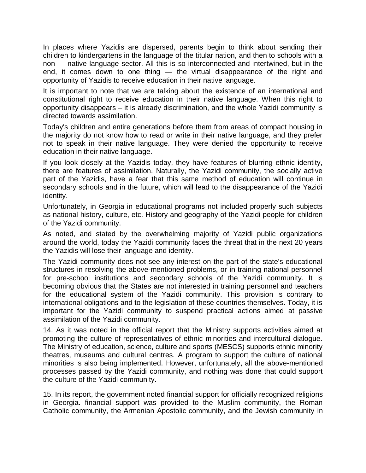In places where Yazidis are dispersed, parents begin to think about sending their children to kindergartens in the language of the titular nation, and then to schools with a non — native language sector. All this is so interconnected and intertwined, but in the end, it comes down to one thing — the virtual disappearance of the right and opportunity of Yazidis to receive education in their native language.

It is important to note that we are talking about the existence of an international and constitutional right to receive education in their native language. When this right to opportunity disappears – it is already discrimination, and the whole Yazidi community is directed towards assimilation.

Today's children and entire generations before them from areas of compact housing in the majority do not know how to read or write in their native language, and they prefer not to speak in their native language. They were denied the opportunity to receive education in their native language.

If you look closely at the Yazidis today, they have features of blurring ethnic identity, there are features of assimilation. Naturally, the Yazidi community, the socially active part of the Yazidis, have a fear that this same method of education will continue in secondary schools and in the future, which will lead to the disappearance of the Yazidi identity.

Unfortunately, in Georgia in educational programs not included properly such subjects as national history, culture, etc. History and geography of the Yazidi people for children of the Yazidi community.

As noted, and stated by the overwhelming majority of Yazidi public organizations around the world, today the Yazidi community faces the threat that in the next 20 years the Yazidis will lose their language and identity.

The Yazidi community does not see any interest on the part of the state's educational structures in resolving the above-mentioned problems, or in training national personnel for pre-school institutions and secondary schools of the Yazidi community. It is becoming obvious that the States are not interested in training personnel and teachers for the educational system of the Yazidi community. This provision is contrary to international obligations and to the legislation of these countries themselves. Today, it is important for the Yazidi community to suspend practical actions aimed at passive assimilation of the Yazidi community.

14. As it was noted in the official report that the Ministry supports activities aimed at promoting the culture of representatives of ethnic minorities and intercultural dialogue. The Ministry of education, science, culture and sports (MESCS) supports ethnic minority theatres, museums and cultural centres. A program to support the culture of national minorities is also being implemented. However, unfortunately, all the above-mentioned processes passed by the Yazidi community, and nothing was done that could support the culture of the Yazidi community.

15. In its report, the government noted financial support for officially recognized religions in Georgia. financial support was provided to the Muslim community, the Roman Catholic community, the Armenian Apostolic community, and the Jewish community in